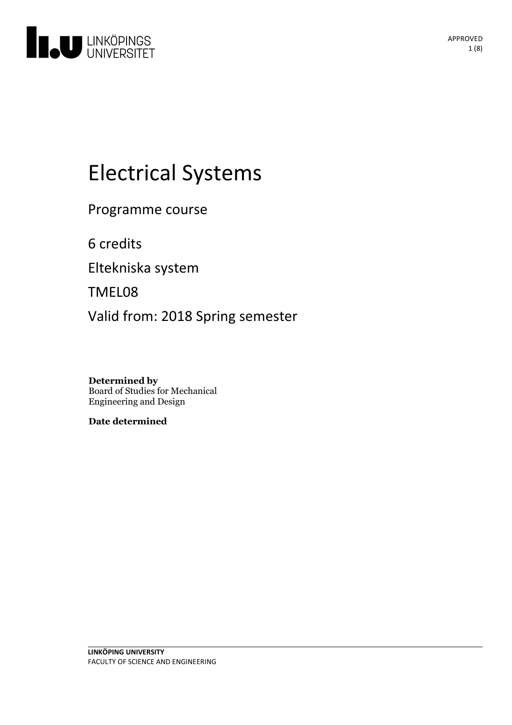

# **Electrical Systems**

Programme course

6 credits

Eltekniska system

TMEL08

Valid from: 2018 Spring semester

**Determined by** Board of Studies for Mechanical Engineering and Design

**Date determined**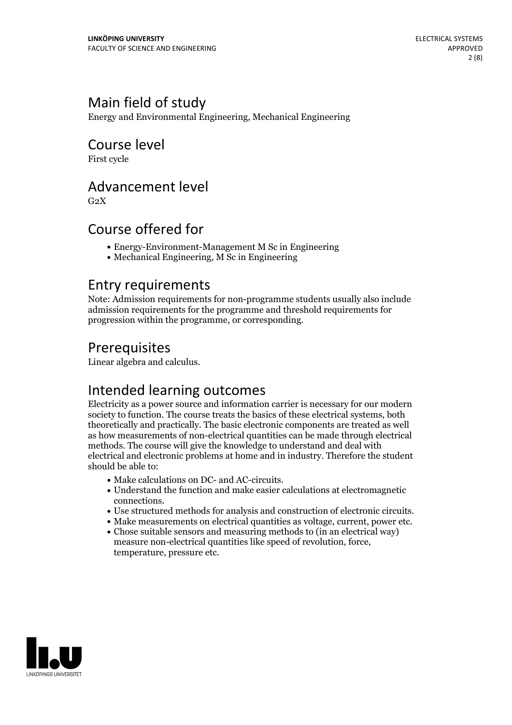# Main field of study

Energy and Environmental Engineering, Mechanical Engineering

# Course level

First cycle

### Advancement level

 $G<sub>2</sub>X$ 

# Course offered for

- Energy-Environment-Management M Sc in Engineering
- Mechanical Engineering, M Sc in Engineering

### Entry requirements

Note: Admission requirements for non-programme students usually also include admission requirements for the programme and threshold requirements for progression within the programme, or corresponding.

# Prerequisites

Linear algebra and calculus.

# Intended learning outcomes

Electricity as a power source and information carrier is necessary for our modern society to function. The course treats the basics of these electrical systems, both theoretically and practically. The basic electronic components are treated as well as how measurements of non-electrical quantities can be made through electrical methods. The course will give the knowledge to understand and dealwith electrical and electronic problems at home and in industry. Therefore the student should be able to:

- 
- Make calculations on DC- and AC-circuits.<br>• Understand the function and make easier calculations at electromagnetic
- Use structured methods for analysis and construction of electronic circuits.<br>• Make measurements on electrical quantities as voltage, current, power etc.<br>• Chose suitable sensors and measuring methods to (in an electrica
- 
- measure non-electrical quantities like speed of revolution, force, temperature, pressure etc.

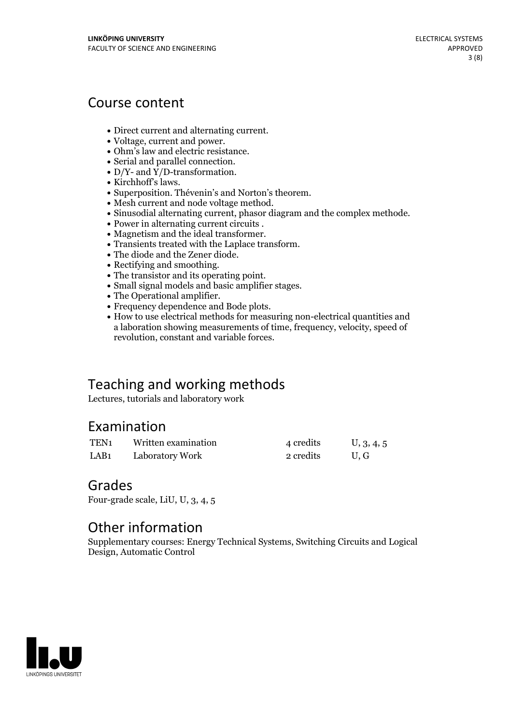# Course content

- 
- 
- 
- 
- 
- 
- 
- 
- 
- 
- 
- 
- 
- 
- 
- 
- 
- 
- Direct current and alternating current.<br>Voltage, current and power.<br>Ohm's law and electric resistance.<br>Serial and parallel connection.<br>Ny-2 -and Y/D-transformation.<br>Sinchhoff's laws.<br>Superposition. Thévenin's and Norton's a laboration showing measurements of time, frequency, velocity, speed of revolution, constant and variable forces.

# Teaching and working methods

Lectures, tutorials and laboratory work

### Examination

| TEN <sub>1</sub> | Written examination | 4 credits | U, 3, 4, 5 |
|------------------|---------------------|-----------|------------|
| LAB <sub>1</sub> | Laboratory Work     | 2 credits | U.G        |

### Grades

Four-grade scale, LiU, U, 3, 4, 5

# Other information

Supplementary courses: Energy Technical Systems, Switching Circuits and Logical Design, Automatic Control

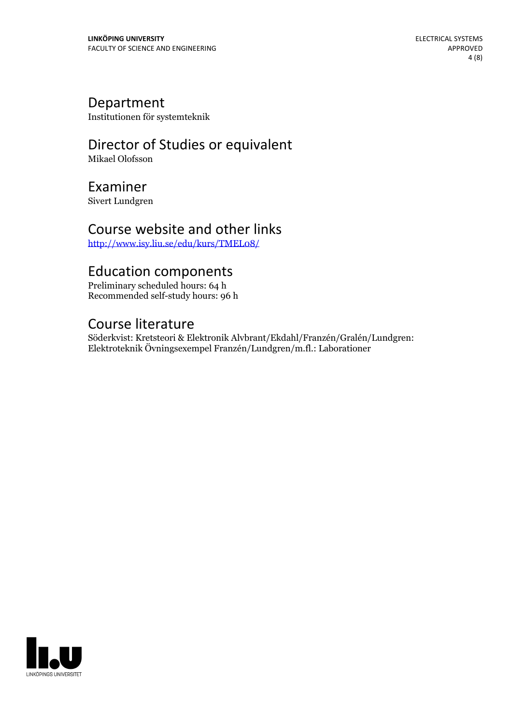### Department

Institutionen för systemteknik

# Director of Studies or equivalent

Mikael Olofsson

# Examiner

Sivert Lundgren

### Course website and other links

<http://www.isy.liu.se/edu/kurs/TMEL08/>

# Education components

Preliminary scheduled hours: 64 h Recommended self-study hours: 96 h

# Course literature

Söderkvist: Kretsteori & Elektronik Alvbrant/Ekdahl/Franzén/Gralén/Lundgren: Elektroteknik Övningsexempel Franzén/Lundgren/m.fl.: Laborationer

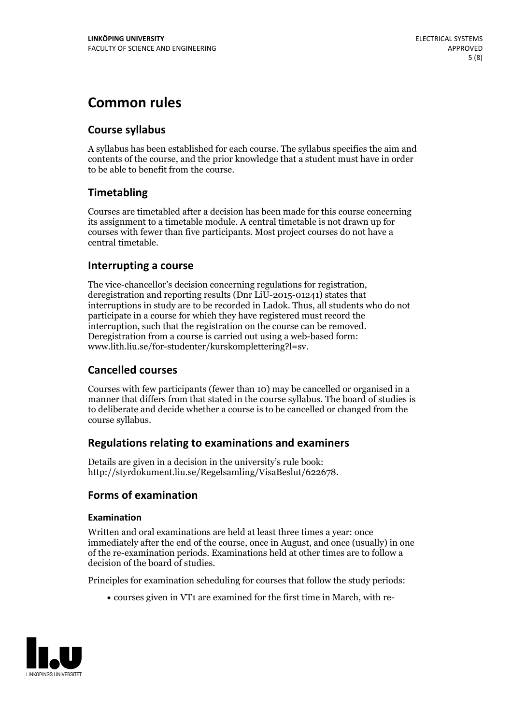# **Common rules**

### **Course syllabus**

A syllabus has been established for each course. The syllabus specifies the aim and contents of the course, and the prior knowledge that a student must have in order to be able to benefit from the course.

### **Timetabling**

Courses are timetabled after a decision has been made for this course concerning its assignment to a timetable module. A central timetable is not drawn up for courses with fewer than five participants. Most project courses do not have a central timetable.

### **Interrupting a course**

The vice-chancellor's decision concerning regulations for registration, deregistration and reporting results (Dnr LiU-2015-01241) states that interruptions in study are to be recorded in Ladok. Thus, all students who do not participate in a course for which they have registered must record the interruption, such that the registration on the course can be removed. Deregistration from <sup>a</sup> course is carried outusing <sup>a</sup> web-based form: www.lith.liu.se/for-studenter/kurskomplettering?l=sv.

### **Cancelled courses**

Courses with few participants (fewer than 10) may be cancelled or organised in a manner that differs from that stated in the course syllabus. The board of studies is to deliberate and decide whether a course is to be cancelled orchanged from the course syllabus.

### **Regulations relatingto examinations and examiners**

Details are given in a decision in the university's rule book: http://styrdokument.liu.se/Regelsamling/VisaBeslut/622678.

### **Forms of examination**

### **Examination**

Written and oral examinations are held at least three times a year: once immediately after the end of the course, once in August, and once (usually) in one of the re-examination periods. Examinations held at other times are to follow a decision of the board of studies.

Principles for examination scheduling for courses that follow the study periods:

courses given in VT1 are examined for the first time in March, with re-

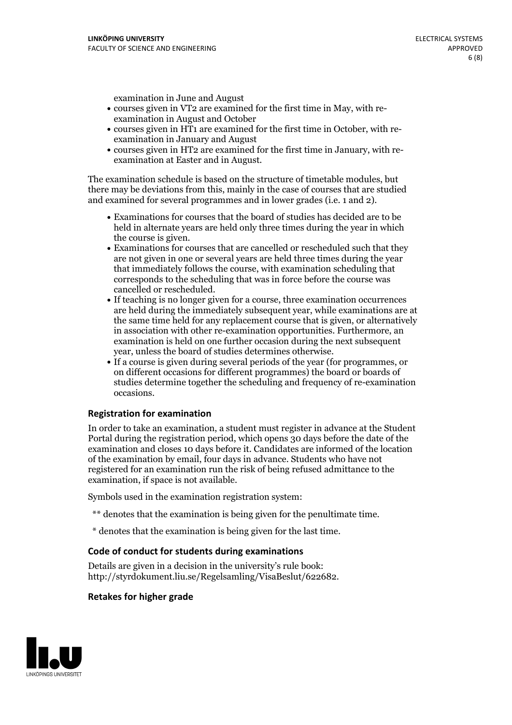examination in June and August

- courses given in VT2 are examined for the first time in May, with re-examination in August and October
- courses given in HT1 are examined for the first time in October, with re-examination in January and August
- courses given in HT2 are examined for the first time in January, with re-examination at Easter and in August.

The examination schedule is based on the structure of timetable modules, but there may be deviations from this, mainly in the case of courses that are studied and examined for several programmes and in lower grades (i.e. 1 and 2).

- Examinations for courses that the board of studies has decided are to be held in alternate years are held only three times during the year in which
- the course is given.<br>• Examinations for courses that are cancelled or rescheduled such that they are not given in one or several years are held three times during the year that immediately follows the course, with examination scheduling that corresponds to the scheduling that was in force before the course was cancelled or rescheduled.<br>• If teaching is no longer given for a course, three examination occurrences
- are held during the immediately subsequent year, while examinations are at the same time held for any replacement course that is given, or alternatively in association with other re-examination opportunities. Furthermore, an examination is held on one further occasion during the next subsequent year, unless the board of studies determines otherwise.<br>• If a course is given during several periods of the year (for programmes, or
- on different occasions for different programmes) the board orboards of studies determine together the scheduling and frequency of re-examination occasions.

#### **Registration for examination**

In order to take an examination, a student must register in advance at the Student Portal during the registration period, which opens 30 days before the date of the examination and closes 10 days before it. Candidates are informed of the location of the examination by email, four days in advance. Students who have not registered for an examination run the risk of being refused admittance to the examination, if space is not available.

Symbols used in the examination registration system:

- \*\* denotes that the examination is being given for the penultimate time.
- \* denotes that the examination is being given for the last time.

#### **Code of conduct for students during examinations**

Details are given in a decision in the university's rule book: http://styrdokument.liu.se/Regelsamling/VisaBeslut/622682.

#### **Retakes for higher grade**

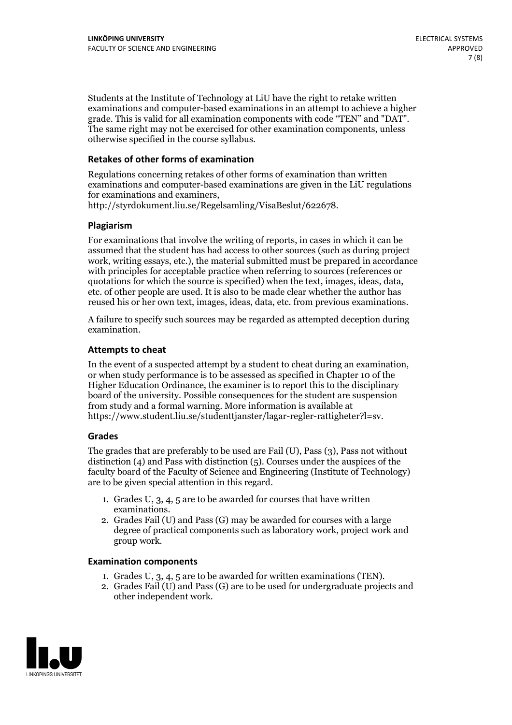Students at the Institute of Technology at LiU have the right to retake written examinations and computer-based examinations in an attempt to achieve a higher grade. This is valid for all examination components with code "TEN" and "DAT". The same right may not be exercised for other examination components, unless otherwise specified in the course syllabus.

### **Retakes of other forms of examination**

Regulations concerning retakes of other forms of examination than written examinations and computer-based examinations are given in the LiU regulations for examinations and examiners, http://styrdokument.liu.se/Regelsamling/VisaBeslut/622678.

#### **Plagiarism**

For examinations that involve the writing of reports, in cases in which it can be assumed that the student has had access to other sources (such as during project work, writing essays, etc.), the material submitted must be prepared in accordance with principles for acceptable practice when referring to sources (references or quotations for which the source is specified) when the text, images, ideas, data, etc. of other people are used. It is also to be made clear whether the author has reused his or her own text, images, ideas, data, etc. from previous examinations.

A failure to specify such sources may be regarded as attempted deception during examination.

#### **Attempts to cheat**

In the event of <sup>a</sup> suspected attempt by <sup>a</sup> student to cheat during an examination, or when study performance is to be assessed as specified in Chapter <sup>10</sup> of the Higher Education Ordinance, the examiner is to report this to the disciplinary board of the university. Possible consequences for the student are suspension from study and a formal warning. More information is available at https://www.student.liu.se/studenttjanster/lagar-regler-rattigheter?l=sv.

#### **Grades**

The grades that are preferably to be used are Fail (U), Pass (3), Pass not without distinction  $(4)$  and Pass with distinction  $(5)$ . Courses under the auspices of the faculty board of the Faculty of Science and Engineering (Institute of Technology) are to be given special attention in this regard.

- 1. Grades U, 3, 4, 5 are to be awarded for courses that have written
- examinations. 2. Grades Fail (U) and Pass (G) may be awarded for courses with <sup>a</sup> large degree of practical components such as laboratory work, project work and group work.

#### **Examination components**

- 
- 1. Grades U, 3, 4, <sup>5</sup> are to be awarded for written examinations (TEN). 2. Grades Fail (U) and Pass (G) are to be used for undergraduate projects and other independent work.